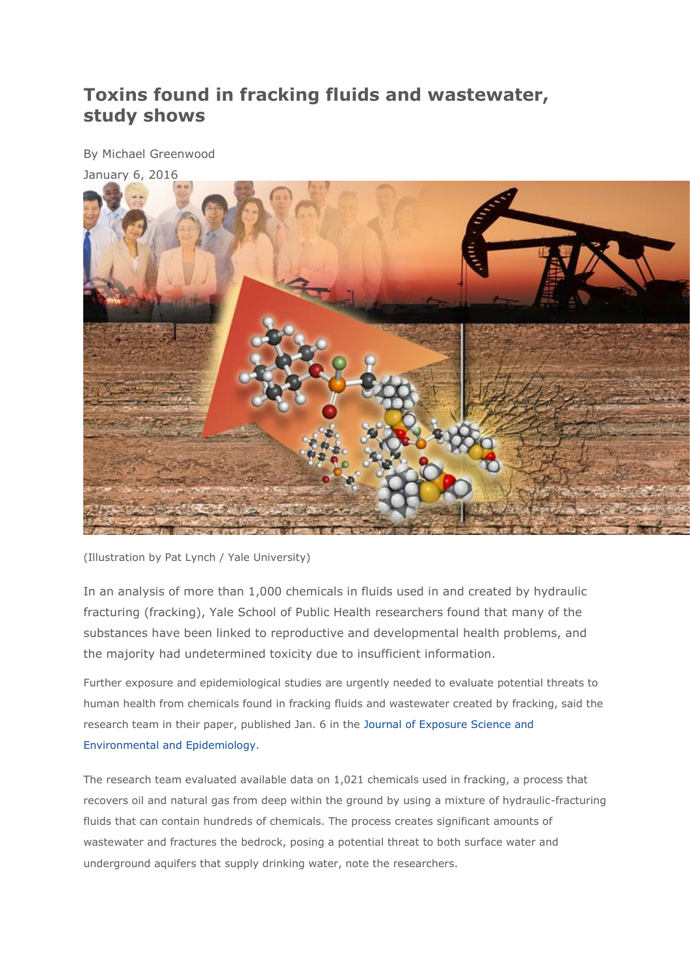## **Toxins found in fracking fluids and wastewater, study shows**

By Michael Greenwood



(Illustration by Pat Lynch / Yale University)

In an analysis of more than 1,000 chemicals in fluids used in and created by hydraulic fracturing (fracking), Yale School of Public Health researchers found that many of the substances have been linked to reproductive and developmental health problems, and the majority had undetermined toxicity due to insufficient information.

Further exposure and epidemiological studies are urgently needed to evaluate potential threats to human health from chemicals found in fracking fluids and wastewater created by fracking, said the research team in their paper, published Jan. 6 in the [Journal of Exposure Science and](http://www.nature.com/jes/journal/vaop/ncurrent/full/jes201581a.html)  [Environmental and Epidemiology.](http://www.nature.com/jes/journal/vaop/ncurrent/full/jes201581a.html)

The research team evaluated available data on 1,021 chemicals used in fracking, a process that recovers oil and natural gas from deep within the ground by using a mixture of hydraulic-fracturing fluids that can contain hundreds of chemicals. The process creates significant amounts of wastewater and fractures the bedrock, posing a potential threat to both surface water and underground aquifers that supply drinking water, note the researchers.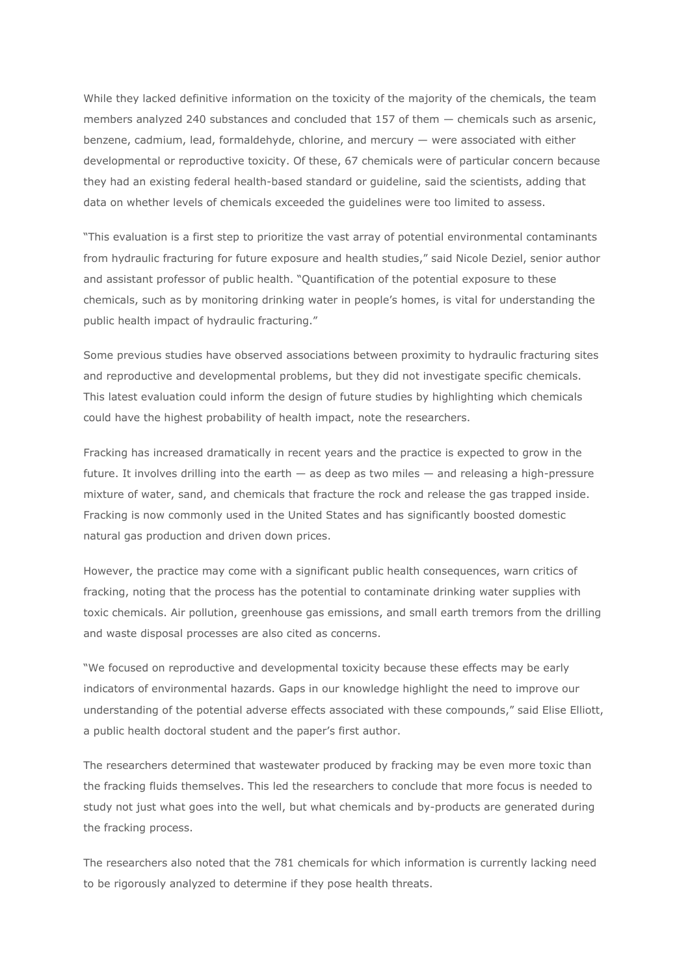While they lacked definitive information on the toxicity of the majority of the chemicals, the team members analyzed 240 substances and concluded that 157 of them — chemicals such as arsenic, benzene, cadmium, lead, formaldehyde, chlorine, and mercury — were associated with either developmental or reproductive toxicity. Of these, 67 chemicals were of particular concern because they had an existing federal health-based standard or guideline, said the scientists, adding that data on whether levels of chemicals exceeded the guidelines were too limited to assess.

"This evaluation is a first step to prioritize the vast array of potential environmental contaminants from hydraulic fracturing for future exposure and health studies," said Nicole Deziel, senior author and assistant professor of public health. "Quantification of the potential exposure to these chemicals, such as by monitoring drinking water in people's homes, is vital for understanding the public health impact of hydraulic fracturing."

Some previous studies have observed associations between proximity to hydraulic fracturing sites and reproductive and developmental problems, but they did not investigate specific chemicals. This latest evaluation could inform the design of future studies by highlighting which chemicals could have the highest probability of health impact, note the researchers.

Fracking has increased dramatically in recent years and the practice is expected to grow in the future. It involves drilling into the earth — as deep as two miles — and releasing a high-pressure mixture of water, sand, and chemicals that fracture the rock and release the gas trapped inside. Fracking is now commonly used in the United States and has significantly boosted domestic natural gas production and driven down prices.

However, the practice may come with a significant public health consequences, warn critics of fracking, noting that the process has the potential to contaminate drinking water supplies with toxic chemicals. Air pollution, greenhouse gas emissions, and small earth tremors from the drilling and waste disposal processes are also cited as concerns.

"We focused on reproductive and developmental toxicity because these effects may be early indicators of environmental hazards. Gaps in our knowledge highlight the need to improve our understanding of the potential adverse effects associated with these compounds," said Elise Elliott, a public health doctoral student and the paper's first author.

The researchers determined that wastewater produced by fracking may be even more toxic than the fracking fluids themselves. This led the researchers to conclude that more focus is needed to study not just what goes into the well, but what chemicals and by-products are generated during the fracking process.

The researchers also noted that the 781 chemicals for which information is currently lacking need to be rigorously analyzed to determine if they pose health threats.